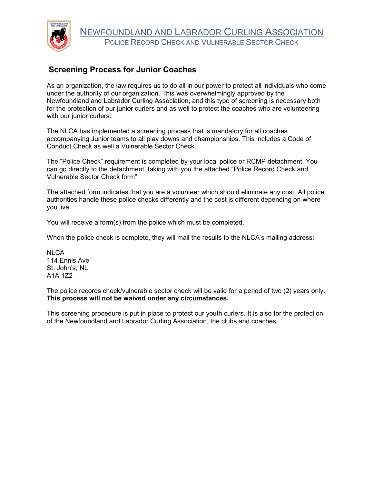

## **Screening Process for Junior Coaches**

As an organization, the law requires us to do all in our power to protect all individuals who come under the authority of our organization. This was overwhelmingly approved by the Newfoundland and Labrador Curling Association, and this type of screening is necessary both for the protection of our junior curlers and as well to protect the coaches who are volunteering with our junior curlers.

The NLCA has implemented a screening process that is mandatory for all coaches accompanying Junior teams to all play downs and championships. This includes a Code of Conduct Check as well a Vulnerable Sector Check.

The "Police Check" requirement is completed by your local police or RCMP detachment. You can go directly to the detachment, taking with you the attached "Police Record Check and Vulnerable Sector Check form".

The attached form indicates that you are a volunteer which should eliminate any cost. All police authorities handle these police checks differently and the cost is different depending on where you live.

You will receive a form(s) from the police which must be completed.

When the police check is complete, they will mail the results to the NLCA's mailing address:

**NLCA** 114 Ennis Ave St. John's, NL A1A 1Z2

The police records check/vulnerable sector check will be valid for a period of two (2) years only. **This process will not be waived under any circumstances.**

This screening procedure is put in place to protect our youth curlers. It is also for the protection of the Newfoundland and Labrador Curling Association, the clubs and coaches.